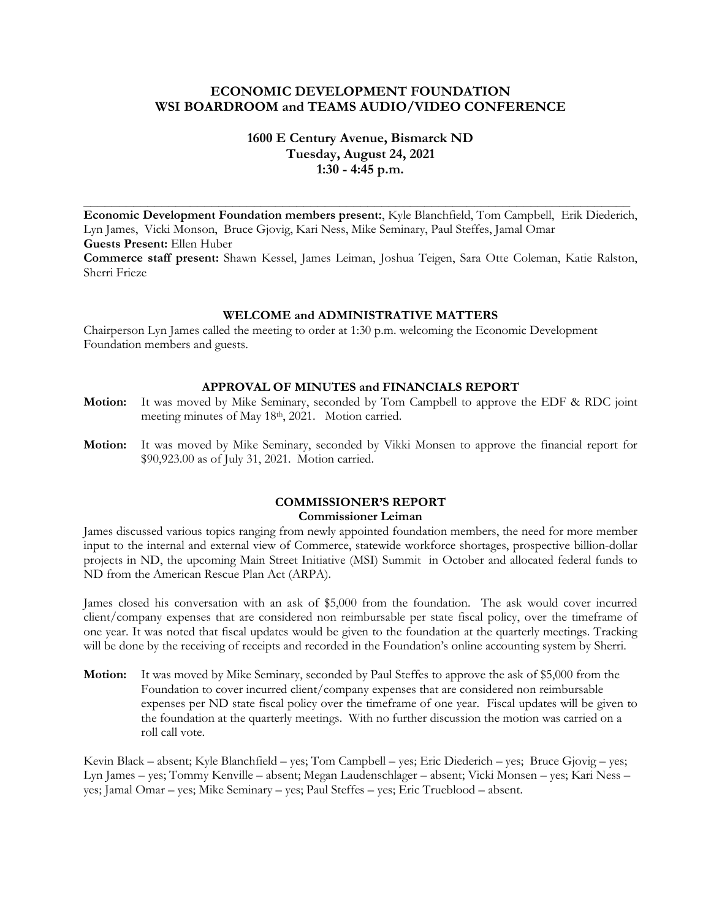### **ECONOMIC DEVELOPMENT FOUNDATION WSI BOARDROOM and TEAMS AUDIO/VIDEO CONFERENCE**

## **1600 E Century Avenue, Bismarck ND Tuesday, August 24, 2021 1:30 - 4:45 p.m.**

**\_\_\_\_\_\_\_\_\_\_\_\_\_\_\_\_\_\_\_\_\_\_\_\_\_\_\_\_\_\_\_\_\_\_\_\_\_\_\_\_\_\_\_\_\_\_\_\_\_\_\_\_\_\_\_\_\_\_\_\_\_\_\_\_\_\_\_\_\_\_\_\_\_\_\_\_\_ Economic Development Foundation members present:**, Kyle Blanchfield, Tom Campbell, Erik Diederich, Lyn James, Vicki Monson, Bruce Gjovig, Kari Ness, Mike Seminary, Paul Steffes, Jamal Omar **Guests Present:** Ellen Huber **Commerce staff present:** Shawn Kessel, James Leiman, Joshua Teigen, Sara Otte Coleman, Katie Ralston, Sherri Frieze

#### **WELCOME and ADMINISTRATIVE MATTERS**

Chairperson Lyn James called the meeting to order at 1:30 p.m. welcoming the Economic Development Foundation members and guests.

#### **APPROVAL OF MINUTES and FINANCIALS REPORT**

- **Motion:** It was moved by Mike Seminary, seconded by Tom Campbell to approve the EDF & RDC joint meeting minutes of May 18th, 2021. Motion carried.
- **Motion:** It was moved by Mike Seminary, seconded by Vikki Monsen to approve the financial report for \$90,923.00 as of July 31, 2021. Motion carried.

#### **COMMISSIONER'S REPORT Commissioner Leiman**

James discussed various topics ranging from newly appointed foundation members, the need for more member input to the internal and external view of Commerce, statewide workforce shortages, prospective billion-dollar projects in ND, the upcoming Main Street Initiative (MSI) Summit in October and allocated federal funds to ND from the American Rescue Plan Act (ARPA).

James closed his conversation with an ask of \$5,000 from the foundation. The ask would cover incurred client/company expenses that are considered non reimbursable per state fiscal policy, over the timeframe of one year. It was noted that fiscal updates would be given to the foundation at the quarterly meetings. Tracking will be done by the receiving of receipts and recorded in the Foundation's online accounting system by Sherri.

**Motion:** It was moved by Mike Seminary, seconded by Paul Steffes to approve the ask of \$5,000 from the Foundation to cover incurred client/company expenses that are considered non reimbursable expenses per ND state fiscal policy over the timeframe of one year. Fiscal updates will be given to the foundation at the quarterly meetings. With no further discussion the motion was carried on a roll call vote.

Kevin Black – absent; Kyle Blanchfield – yes; Tom Campbell – yes; Eric Diederich – yes; Bruce Gjovig – yes; Lyn James – yes; Tommy Kenville – absent; Megan Laudenschlager – absent; Vicki Monsen – yes; Kari Ness – yes; Jamal Omar – yes; Mike Seminary – yes; Paul Steffes – yes; Eric Trueblood – absent.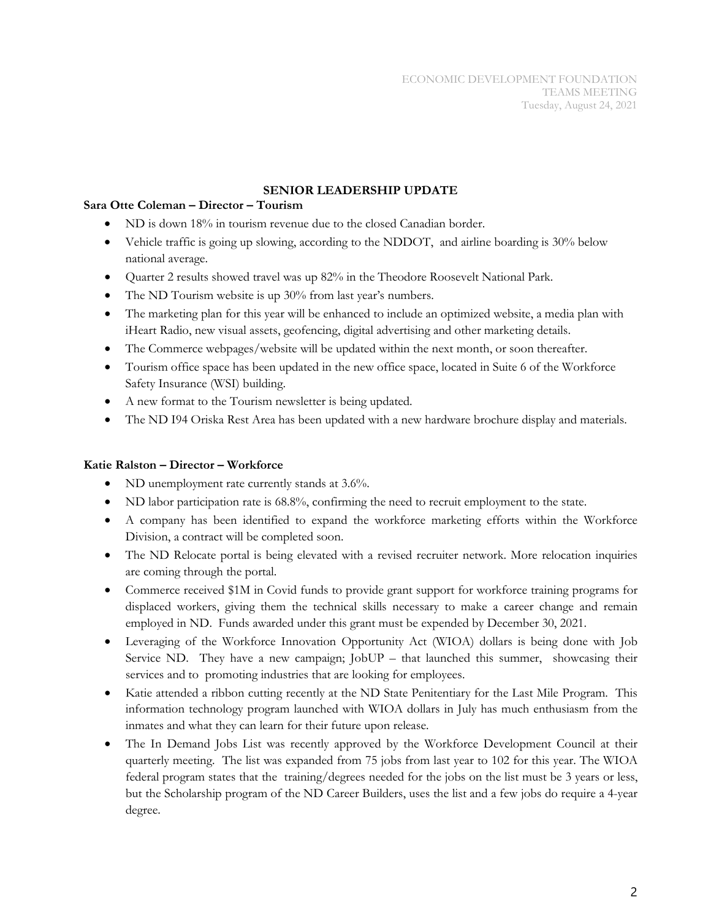# **SENIOR LEADERSHIP UPDATE**

# **Sara Otte Coleman – Director – Tourism**

- ND is down 18% in tourism revenue due to the closed Canadian border.
- Vehicle traffic is going up slowing, according to the NDDOT, and airline boarding is 30% below national average.
- Quarter 2 results showed travel was up 82% in the Theodore Roosevelt National Park.
- The ND Tourism website is up 30% from last year's numbers.
- The marketing plan for this year will be enhanced to include an optimized website, a media plan with iHeart Radio, new visual assets, geofencing, digital advertising and other marketing details.
- The Commerce webpages/website will be updated within the next month, or soon thereafter.
- Tourism office space has been updated in the new office space, located in Suite 6 of the Workforce Safety Insurance (WSI) building.
- A new format to the Tourism newsletter is being updated.
- The ND I94 Oriska Rest Area has been updated with a new hardware brochure display and materials.

#### **Katie Ralston – Director – Workforce**

- ND unemployment rate currently stands at 3.6%.
- ND labor participation rate is 68.8%, confirming the need to recruit employment to the state.
- A company has been identified to expand the workforce marketing efforts within the Workforce Division, a contract will be completed soon.
- The ND Relocate portal is being elevated with a revised recruiter network. More relocation inquiries are coming through the portal.
- Commerce received \$1M in Covid funds to provide grant support for workforce training programs for displaced workers, giving them the technical skills necessary to make a career change and remain employed in ND. Funds awarded under this grant must be expended by December 30, 2021.
- Leveraging of the Workforce Innovation Opportunity Act (WIOA) dollars is being done with Job Service ND. They have a new campaign; JobUP – that launched this summer, showcasing their services and to promoting industries that are looking for employees.
- Katie attended a ribbon cutting recently at the ND State Penitentiary for the Last Mile Program. This information technology program launched with WIOA dollars in July has much enthusiasm from the inmates and what they can learn for their future upon release.
- The In Demand Jobs List was recently approved by the Workforce Development Council at their quarterly meeting. The list was expanded from 75 jobs from last year to 102 for this year. The WIOA federal program states that the training/degrees needed for the jobs on the list must be 3 years or less, but the Scholarship program of the ND Career Builders, uses the list and a few jobs do require a 4-year degree.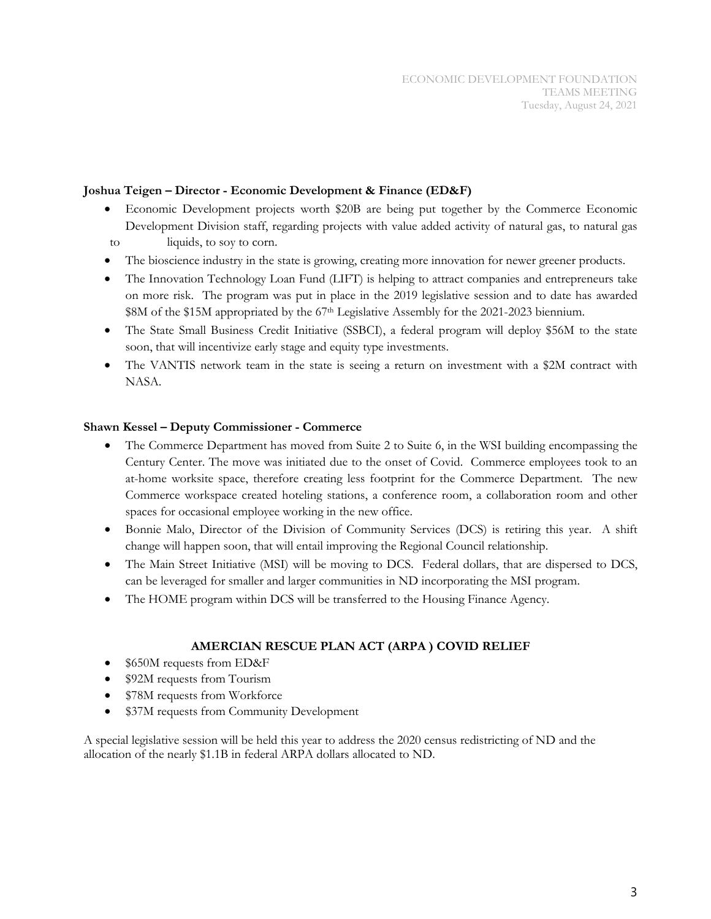### **Joshua Teigen – Director - Economic Development & Finance (ED&F)**

- Economic Development projects worth \$20B are being put together by the Commerce Economic Development Division staff, regarding projects with value added activity of natural gas, to natural gas
- to liquids, to soy to corn.
- The bioscience industry in the state is growing, creating more innovation for newer greener products.
- The Innovation Technology Loan Fund (LIFT) is helping to attract companies and entrepreneurs take on more risk. The program was put in place in the 2019 legislative session and to date has awarded \$8M of the \$15M appropriated by the 67<sup>th</sup> Legislative Assembly for the 2021-2023 biennium.
- The State Small Business Credit Initiative (SSBCI), a federal program will deploy \$56M to the state soon, that will incentivize early stage and equity type investments.
- The VANTIS network team in the state is seeing a return on investment with a \$2M contract with NASA.

### **Shawn Kessel – Deputy Commissioner - Commerce**

- The Commerce Department has moved from Suite 2 to Suite 6, in the WSI building encompassing the Century Center. The move was initiated due to the onset of Covid. Commerce employees took to an at-home worksite space, therefore creating less footprint for the Commerce Department. The new Commerce workspace created hoteling stations, a conference room, a collaboration room and other spaces for occasional employee working in the new office.
- Bonnie Malo, Director of the Division of Community Services (DCS) is retiring this year. A shift change will happen soon, that will entail improving the Regional Council relationship.
- The Main Street Initiative (MSI) will be moving to DCS. Federal dollars, that are dispersed to DCS, can be leveraged for smaller and larger communities in ND incorporating the MSI program.
- The HOME program within DCS will be transferred to the Housing Finance Agency.

# **AMERCIAN RESCUE PLAN ACT (ARPA ) COVID RELIEF**

- \$650M requests from ED&F
- \$92M requests from Tourism
- \$78M requests from Workforce
- \$37M requests from Community Development

A special legislative session will be held this year to address the 2020 census redistricting of ND and the allocation of the nearly \$1.1B in federal ARPA dollars allocated to ND.